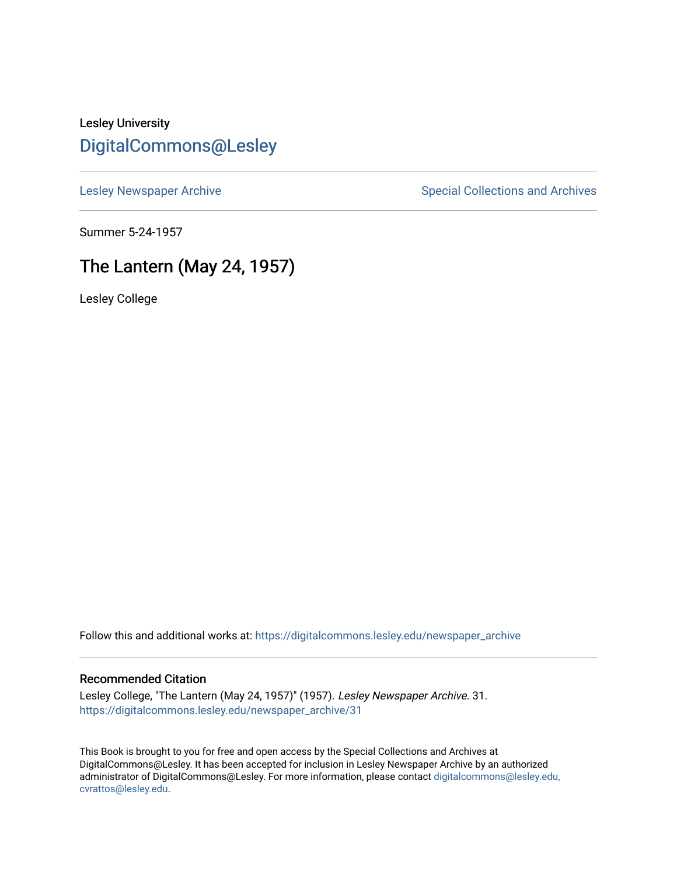### Lesley University [DigitalCommons@Lesley](https://digitalcommons.lesley.edu/)

[Lesley Newspaper Archive](https://digitalcommons.lesley.edu/newspaper_archive) **Special Collections and Archives** Special Collections and Archives

Summer 5-24-1957

### The Lantern (May 24, 1957)

Lesley College

Follow this and additional works at: [https://digitalcommons.lesley.edu/newspaper\\_archive](https://digitalcommons.lesley.edu/newspaper_archive?utm_source=digitalcommons.lesley.edu%2Fnewspaper_archive%2F31&utm_medium=PDF&utm_campaign=PDFCoverPages)

#### Recommended Citation

Lesley College, "The Lantern (May 24, 1957)" (1957). Lesley Newspaper Archive. 31. [https://digitalcommons.lesley.edu/newspaper\\_archive/31](https://digitalcommons.lesley.edu/newspaper_archive/31?utm_source=digitalcommons.lesley.edu%2Fnewspaper_archive%2F31&utm_medium=PDF&utm_campaign=PDFCoverPages) 

This Book is brought to you for free and open access by the Special Collections and Archives at DigitalCommons@Lesley. It has been accepted for inclusion in Lesley Newspaper Archive by an authorized administrator of DigitalCommons@Lesley. For more information, please contact [digitalcommons@lesley.edu,](mailto:digitalcommons@lesley.edu,%20cvrattos@lesley.edu)  [cvrattos@lesley.edu.](mailto:digitalcommons@lesley.edu,%20cvrattos@lesley.edu)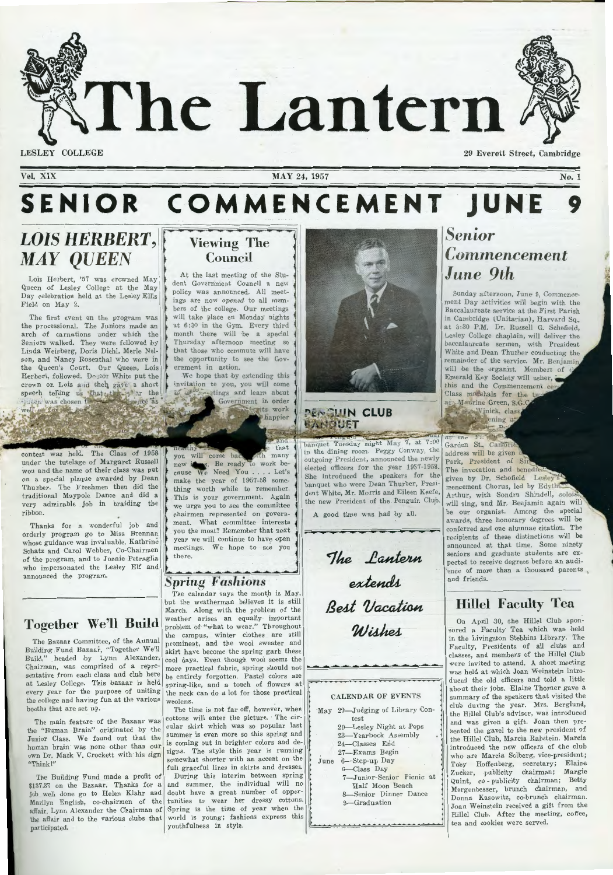The Lantern

**LESLEY C OLLEGE** 

**Vol. XIX** 

**MAY** 24, **1957** 

# SENIOR COMMENCEMENT JUNE *9*

......

# **LOIS HERBERT, MAY QUEEN**

Lois Herbert, '57 was crowned May Queen of Lesley College at the May Day celebration held at the Lesley Ellis Field on May 2.

The first event on the program was the processional. The Juniors made an arch of carnations under which the Seniors walked. They were followed by Linda Weisberg, Doris Diehl, Merle Nelson, and Nancy Rosenthal who were in the Queen's Court. Our Queen, Lois Herbert, followed. Doctor White put the crown on Lois and then gave a short speech telling us that the fact the the Jusen was chosen I

off for the

The Class of 1958 under the tutelage of Margaret Russell won and the name of their class was put on a special plaque awarded by Dean Thurber. The Freshmen then did the traditional Maypole Dance and did a very admirable job in braiding the ribbon.

Thanks for a wonderful job and **thanks** for a wonderful job and whose guidance was invaluable, Kathrine Schatz and Carol Webber, Co-Chairmen of the program, and to Joanie Petraglia who impersonated the Lesley Elf and announced the program.

### **Togeth er We'll Build**

The Bazaar Committee, of the Annual Building Fund Bazaar, "Together We'll Build," headed by Lynn Alexander, Chairman, was comprised of a representative from each class and club here at Lesley College. This bazaar is held every year for the purpose of uniting the college and having fun at the various booths that are set up.

Junior Class. We found out that the human brain was none other than our own Dr. Mark V. Crockett with his sign "Think!"

The Building Fund made a profit of \$137.37 on the Bazaar. Thanks for a participated.

## **Viewing The Council**

At the last meeting of the Student Government Council a new policy was announced. All meetings are now *opened* to all members of the college. Our meetings will take place on Monday nights at 6:30 in the Gym. Every third month there will be a special Thursday afternoon meeting so that those who commute will have the opportunity to see the Government in action.

We hope that by extending this invitation to you, you will come a<sup>10</sup><sub>2</sub> etings and learn about Government in order tuits work happier

that you will come bad th many new Be ready to cause We Need You . . . . Let's make the year of 1957-58 something worth while to remember. This is your government. Again we urge you to see the committee chairmen represented on government. What committee interests you the most? Remember that next year we will continue to have open meetings. We hope to see you there.

### *Sp ring Fa shions*

The calendar says the month is May, but the weatherman believes it is still March. Along with the problem of the weather arises an equally· important problem of "what to wear." Throughout the campus, winter clothes are still prominent, and the wool sweater and skirt have become the spring garb these cool days. Even though wool seems the more practical fabric, spring should not be entirely forgotten. Pastel colors are spring-like, and a touch of flowers at the neck can do a lot for those practical woolens.

The main feature of the Bazaar was cottons will enter the picture. The cirthe "Human Brain" originated by the cular skirt which was so popular last The time is not far off, however, when summer is even more so this spring and is coming out in brighter colors and designs. The style this year is running somewhat shorter with an accent on the full graceful lines in skirts and dresses.

job well done go to Helen Klahr and doubt have a great number of oppor-Marilyn English, co-chairmen of the tunities to wear her dressy cottons. affair, Lynn Alexander the Chairman of 'Spring is the time of year when the the affair and to the various clubs that world is young; fashions express this During this interim between spring and summer, the individual will no youthfulness in style.



**PENGUIN CLUB** *HANDUET* 

banquet Tuesday night May 7, at 7:00 in the dining room. Peggy Conway, the outgoing President, announced the newly elected officers for the year 1957-1958. She introduced the speakers for the banquet who were Dean Thurber, President White, Mr. Morris and E ileen Keefe, the new President of the Penguin Club.

A good time was had by all.

................................................................

The *Lantern* extends **Best Vacation**  $Wishes$ 

CALENDAR OF EVENTS

.......\_ \_\_\_\_\_ ........................ ....... ... ... ...

\*\*\*\*\*\*\*\*\*\*\*\*\*\*\*\*\*\*\*\*\*\*\*\*\*\*

| May 20-Judging of Library Con- |
|--------------------------------|
| test                           |
| 20-Lesley Night at Pops        |
| 23-Yearbook Assembly           |
| 24-Classes End                 |
| 27-Exams Begin                 |
| June 6-Step-up Day             |
| 6-Class Day                    |
| 7-Junior-Senior Picnic at      |
| Half Moon Beach                |
| 8-Senior Dinner Dance          |
| 9-Graduation                   |
|                                |

# *Senior*   $$ *June 9th*

Sunday afternoon, June 9, Commencement Day activities will begin with the Baccalaureate service at the First Parish in Cambridge (Unitarian), Harvard Sq., at 3:30 P.M. Dr. Russell G. Schofield, Lesley College chaplain, will deliver the baccalaureate sermon, with President White and Dean Thurber conducting the of the service. Mr. Benjamin will be the organist. Members of Emerald Key Society will usher, this and the Commencement cers Class marshals for the two

ary Maurine Green, S.G.C r. the Vinick, class ening at  $\overline{P}$ 

**FALSO** at Garden St., Canford address will be given Park, President of Sii The invocation and benedic given by Dr. Schofield. Lesley mencement Chorus, led by Edyth' Arthur, with Sondra Shindell, solois will sing, and Mr. Benjamin again will be our organist. Among the special awards, three honorary degrees will be conferred and one alumnae citation. The recipients of these distinctions will be announced at that time. Some ninety seniors and graduate students are expected to receive degrees before an audi ence of more than a thousand parents, and friends.

## **Hillel Fa culty Tea**

On April 30, the Hillel Club sponsored a Faculty Tea which was held in the Livingston Stebbins Library. The Faculty, Presidents of all clubs and classes, and members of the Hillel Club were invited to attend. A short meeting. was held at which Joan Weinstein introduced the old officers and told a little about their jobs. Elaine Thorner gave a summary of the speakers that visited the club during the year. Mrs. Berglund, the Hillel Club's advisor, was introduced and was given a gift. Joan then presented the gavel to the new president of the Hillel Club, Marcia Rabstein. Marcia introduced the new officers of the club who are Marcia Solberg, vice-president; Toby Hoffenberg, secretary; Elaine Zucker, publicity chairman; Margie Quint, co - publicity chairman; Betty Morgenbesser, brunch chairman, and Donna Kasowitz, co-brunch chairman. Joan Weinstein received a gift from the Hillel Club. After the meeting, coffee, tea and cookies were served.





**No. 1**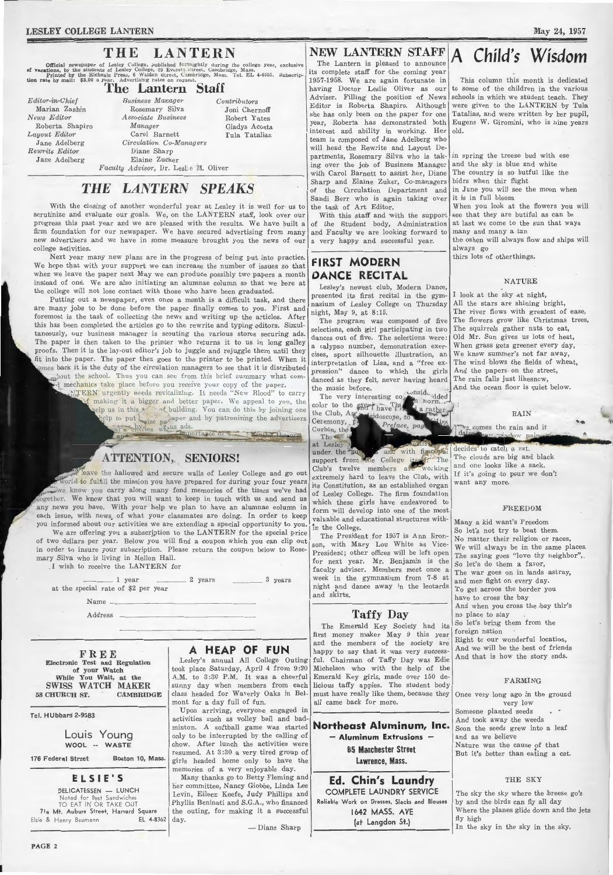#### LESLEY COLLEGE LANTERN

### THE LANTERN

Official newspaper of Lesley College, published fortnightly during the college year, exclusive<br>of vacations, by the students of Lesley College, 29 Everett Street, Cambridge, Mass.<br>Printed by the Richdale Press, 6 Walden St

### The Lantern Staff

*Editor-in-Chief*  Marian Zashin *News Editor*  Roberta Shapiro *Layout Editor*  Jane Adelberg *Rewrite Editor*  Jane Adelberg

*Business Manager*  Rosemary Si)va *Associa,te Business Manager*  Carol Barnett *Circulation Co-Managers*  Diane Sharp Elaine Zucker *Contributors*  Joni Chernoff Robert Yates Gladys Acosta Tula Tatalias *Faculty Advisor,* Dr. Leslie M. Oliver

### *THE LANTERN SPEAKS*

With the closing of another wonderful year at Lesley it is well for us to scrutinize and evaluate our goals. We, on the LANTERN staff, look over our progress this past year and we are pleased with the results. We have built a firm foundation for our newspaper. We have secured advertising from many new advertisers and we have in some measure brought you the news of our college activities.

Next year many new plans are in the progress of being put into practice. We hope that with your support we can increase the number of issues so that when we leave the paper next May we can produce possibly two papers a month instead of one. We are also initiating an alumnae column so that we here at the college will not lose contact with those who have been graduated.

Putting out a newspaper, even once a month is a difficult task, and there are many jobs to be done before the paper finally comes to you. First and foremost is the task of collecting the news and writing up the articles. After this has been completed the articles go to the rewrite and typing editors. Simultaneously, our business manager is scouting the various stores securing ads. The paper is then taken to the printer who returns it to us in long galley proofs. Then it is the lay-out editor's job to juggle and rejuggle them until they fit into the paper. The paper then goes to the printer to be printed. When it \_mes back it is the duty of the circulation managers to see that it is distributed mhout the school. Thus you can see from this brief summary what com-I mechanics take place before you receive your copy of the paper.

ITERN urgently needs revitalizing. It needs "New Blood" to carry f making it a bigger and better paper. We appeal to you, the elp us in this  $t \rightarrow 0$  building. You can do this by joining one  $t_{\text{size}}$  by patronizing the advertisers Eal & chiries we us ads.

-an• - -- --...... -•"'-' ..,.,\_ --- -- .

### ATTENTION, SENIORS!

\_ leave .the hallowed and secure walls of Lesley College and go out word to fulfill the mission you have prepared for during your four years we know you carry along many fond memories of the times we've had ogether. We know that you will want to keep in touch with us and send us any news you have. With your help we plan to have an alumnae column in each issue, with news of what your classmates are doing. In order to keep you informed about our activities we are extending a special opportunity to you.

We are offering you a subscription to the LANTERN for the special price of two dollars per year. Below you will find a coupon which you can clip out in order to insure your subscription. Please return the coupon below to Rosemary Silva who is living in Mellon Hall. I wish to receive the LANTERN for

 $1 \text{ year}$   $2 \text{ years}$   $3 \text{ years}$ at the special rate of \$2 per year

Name

Address

FREE Electronic Test and Regulation of your Watch While You Wait, at the SWISS WATCH MAKER 58 CHURCH ST. CAMBRIDGE

Tel. HUbbard 2-9583

Louis Young WOOL -- WASTE

176 Federal Street Boston 10, Mass.

ELSIE'S

DELICATESSEN - LUNCH Noted for Best Sandwiches TO EAT IN OR TAKE OUT 71a Mt. Auburn Street, Harvard Square Elsie & Henry Baumann EL 4-8362

### A HEAP OF FUN

Lesley's annual All College Outing took place Saturday, April 4 from 9:30 A.M. to 3:30 P.M. It was a cheerful sunny day when members from each class headed for Waverly Oaks in Belmont for a day full of fun.

Upon arriving, everyone engaged in activities such as volley ball and badminton. A softball game was started only to be interrupted by the calling of chow. After lunch the activities were resumed. At 3 :30 a very tired group of girls headed home only to have the memories of a very enjoyable day.

Many thanks go to Betty Fleming and her committee, Nancy Giobbe, Linda Lee Levin, Eileen Keefe, Judy Phillips and Phyllis Beninati and S.G.A., who financed the outing, for making it a successful day.

- Diane Sharp

### NEW LANTERN STAFF

The Lantern is pleased to announce its complete staff for the coming year 1957-1958. We are again fortunate in having Doctor Leslie Oliver as our Adviser. Filling the position of News Editor is Roberta Shapiro. Although she has only been on the paper for one year, Roberta has demonstrated both interest and ability in working. Her team is composed of Jane Adelberg who will head the Rewrite and Layout Departments, Rosemary Silva who is taking over the joh of Business Manager with Carol Barnett to assist her, Diane Sharp and Elaine Zuker, Co-managers of the Circulation Department and Sandi Borr who is again taking over the task of Art Editor.

With this staff and with the support of the Student body, Administration and Faculty we are looking forward to a very happy and successful year.

### FIRST MODERN DANCE RECITAL

Lesley's newest club, Modern Dance, presented its first recital in the gymnasium of Lesley College on Thursday night, May 9, at 8:15.

The program was composed of five selections, each girl participating in two dances out of five. The selections were : a calypso number, demonstration exercises, sport silhouette illustration, an interpretation of Lisa, and a "free expression" dance to which the girls danced as they felt, never having heard the music before. the music before.  $\frac{\text{const}}{\text{d} \text{d} \text{e} \text{d}}$ 

color to the every have the darather the Club,  $A_{\mathbb{R}}$ Ceremony, . Preface, pag Corbin, the

at Lesley 2. under. the <sup>3</sup> ai and with final alal support from the College its support from the College its The  $\left| \begin{array}{c} 1 \text{ m} \\ \text{m} \end{array} \right|$  and one looks like a sack. extremely hard to leave the Cluib, with its Constitution, as an established organ of Lesley College. The firm foundation which these girls have endeavored to form will develop into one of the most valuable and educational structures within the College.

The President for 1957 is Ann Bronson, with Mary Lou White as Vice-President; other offices will be left open for next year. Mr. Benjamin is the faculty adviser. Members meet once a week in the gymnasium from 7-8 at night and dance away in the leotards and skirts.

### Taffy Day

The Emerald Key Society had its first money maker May 9 this year and the members of the society are happy to say that it was very successful. Chairman of Taffy Day was Edie Michelson who with the help of the Emerald Key girls, made over 150 delicious taffy apples. The student body must have really like them, because they all came back for more.

Northeast Aluminum, Inc. - Aluminum Extrusions -65 Manchester Street Lawrence, Mass.

Ed. Chin's Laundry COMPLETE LAUNDRY SERVICE Reliable Work on Dresses, Slacks and Blouses 1642 MASS. AVE {at Langdon St.)

# Child's Wisdom

May 24, 1957

This column this month is dedicated to some of the children in the various schools in which we student teach. They were given to the LANTERN by Tula Tatalias, and were written by her pupil, Eugene W. Giromini, who is nine years old.

in spring the treese bud with ese and the sky is blue and white The country is so butful like the bidrs when thir flight in June you will see the moon when it is in full bloom When you look at the flowers you will see that they are butiful as can be at last we come to the sun that ways many and many a tun the oshen will always flow and ships will always go

thirs lots of otherthings.

#### NATURE

I look at the sky at night, All the stars are shining bright, The river flows with greatest of ease, The flowers grow like Christmas trees, The squirrels gather nuts to eat, Old Mr. Sun gives us lots of heat, When grass gets greener every day, We know summer's not far away, The wind blows the fields of wheat, And the papers on the street, The rain falls just likesnow, And the ocean floor is quiet below.

RAIN

 $\overline{\phantom{a}}$ 

e comes the rain and it da

decides to catch a rat. The clouds are big and black If it's going to pour we don't want any more.

#### FREEDOM

Many a kid want's Freedom So let's not try to beat them. No matter their religion or races, We will always be in the same places. The saying goes "love thy neighbor",. So let's do them a favor, The war goes on in lands astray, and men fight on every day. To get acroos the border you have to cross the bay And when you cross the bay thir's no place to stay So let's bring them from the foreign nation Right to our wonderful location, And we will be the best of friends

And that is how the story ends.

#### FARMING

Once very long ago in the ground very low Someone planted seeds And took away the weeds Soon the seeds grew into a leaf and as we believe Nature was the cause of that But it's better than eating a cat.

#### THE SKY

The sky the sky where the breese go's by and the birds can fly all day Where the planes glide down and the jets fly high

In the sky in the sky in the sky.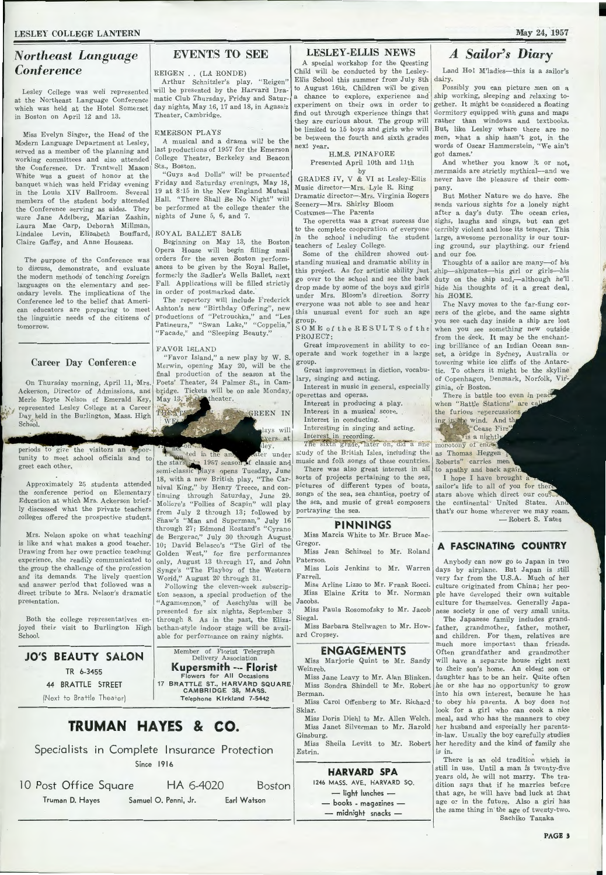### *Northeast Language Conference*

Lesley College was well represented at the Northeast Language Conference which was held at the Hotel Somerset in Boston on April 12 and 13.

Miss Evelyn Singer, the Head of the Modern Language Department at Lesley, served as a member of the planning and working committees and also attended the Conference. Dr. Trentwell Mason White was a guest of honor at the banquet which was held Friday evening in the Louis XIV Ballroom. Several members of the student body attended the Conference serving as aides. They were Jane Adelberg, Marian Zashin, Laura Mae Oarp, Deborah Millman, Lindalee Levin, Elizabeth Bouffard, Claire Gaffey, and Anne Houseas.

The purpose of the Conference was to discuss, demonstrate, and evaluate the modern methods of teaching foreign languages on the elementary and secondary levels. The implications of the Conference led to the belief that American educators are preparing to meet the linguistic needs of the citizens of tomorrow.

### Career Day Conference

On Thursday morning, April 11, Mrs. Merle Royte Nelson of Emerald Key, represented Lesley College at a Career Day. held in the Burlington, Mass. High School.

 $\ddot{\varepsilon}$ 

tunity to meet school officials and to greet each other.

Approximately 25 students attended the conference period on Elementary Education at which Mrs. Ackerson briefly discussed what the private teachers colleges offered the prospective student.

Mrs. Nelson spoke on what teaching is like and what makes a good teacher. Drawing from her own practice teaching experience, she readily communicated to the group the challenge of the profession and its demands. The lively question and answer period that followed was a direct tribute to Mrs. Nelson's dramatic presentation.

Both the college representatives enjoyed their visit to Burlington High School.

### **J0 <sup>1</sup> S BEAUTY SALON**  TR 6-3455 44 BRATTLE STREET

### EVENTS TO SEE

#### REIGEN .. (LA RONDE)

Arthur Schnitzler's play, "Reigen" will be presented by the Harvard Dramatic Club Thursday, Friday and Saturday nights, May 16, 17 and 18, in Agassiz Theater, Cambridge.

EMERSON PLAYS

A musical and a drama will be the last productions of 1957 for the Emerson College Theater, Berkeley and Beacon Sts., Boston. "Guys and Dolls" will be presented

Friday and Saturday evenings, May 18, 19 at 8:15 in the New England Mutual Hall. "There Shall Be No Night" will be performed at the college theater the nights of June 5, 6, and 7.

#### ROYAL BALLET SALE

Beginning on May 13, the Boston Opera House will begin filling mail orders for the seven Boston performances to be given by the Royal Ballet, formerly the Sadler's Wells Ballet, next Fall. Applications will be filled strictly in order of postmarked date.

The repertory will include Frederick Ashton's new "Birthday Offering", new productions of "Petrouchka," and "Les Patineurs," "Swan Lake," "Coppelia," 'Facade," and "Sleeping Beauty."

#### FAVOR ISLAND

vV

"Favor Island," a new play by W. S. Merwin, opening May 20, will be ithe final production of the season at the Poets' Theater, 24 Paimer St., in Cam-Ackerson, Director of Admissions, and 1bridge. Tickets will be on sale Monday, May 13, **and** theater.

**INGREEN IN** 

lays will

ater under \_,;f classic and opens Tuesday, June 18, with a new British play, "The Carnival King," by Henry Treece, and continuing through Saturday,\_ June 29. Moliere's "Follies of Scapin" will play from July 2 through 13; followed by Shaw's "Man and Superman," July 16 through 27; Edmond Rostand's "Cyrano de Bergerac," July 30 through August 10; David Belasco's "The Girl of the Golden West," for five performances only, August 13 through 17, and John Synge's "The Playboy of the Western World," August 20 through 31.

Following the eleven-week subscription season, a special production of the "Agamemnon," of Aeschylus will be presented for six nights, September 3 through 8. As in the past, the Elizabethan-style indoor stage will be available for performance on rainy nights.

Member of Florist Telegraph Delivery Association **Kupersmith** --- **Florist**  Flowers for All Occasions 17 BRATTLE ST., HARVARD SQUARE CAMBRIDGE 38, MASS.

### LESLEY-ELLIS NEWS

A special workshop for the Questing Child will 1be conducted by the Lesley-Ellis School this summer from July 8th to August 16th. Children will be given a chance to explore, experience and. experiment on their own in order to find out through experience things that they are curious about. The group will be limited to 15 boys and girls who will be between the fourth and sixth grades next year.

H.M.S. PINAFORE Presented April 10th and 11th by

GRADES IV, V & VI at Lesley-Ellis Music director-Mrs. Lyle R. Ring Dramatic director-Mrs. Virginia Rogers Scenery-Mrs. Shirley Bloom Costumes-The Parents

The operetta was a great success due to the complete cooperation of everyone in the school including the student

teachers of Lesley College. Some of the children showed outstanding musical and dramatic ability in this project. As for artistic ability just go over to the school and see the back drop made by some of the boys and girls under Mrs. Bloom's direction. Sorry everyone was not able to see and hear this unusual event for such an age group.

SOME of the RESULTS of the PROJECT:

Great improvement in ability to cooperate and work together in a large group.

Great improvement in diction, vocabulary, singing and acting.

Interest in music in general, especially operettas and operas.

Interest in producing a play. Interest in a musical score. Interest in conducting.

Interesting in singing and acting.

pyers, at Interest in recording.<br>Hey. The sixth grade, later on, did a fine monotony of ended periods to give the visitors an oppor- The net on the angle of the sixth grade, later on, and a nne monotony of end of study of the British Isles, including the music and folk songs of these countries. Roberts" carries men There was also great interest in all to apathy and back again

sorts of projects pertaining to the sea, I hope I have brought a pictures of different types of boats, sailor's life to all of you for then songs of the sea, sea chanties, poetry of stars above which direct our couple the sea, and music of great composers the continental United States. An portraying the sea. that's our home wherever we may roam.

#### **PINNINGS**

Miss Marcia White to Mr. Bruce Mac-Gregor.

Miss Jean Schinzel to Mr. Roland Paterson.

Farrell. Miss Arline Lizzo to Mr. Frank Rocci. Miss Elaine Kritz to Mr. Norman Jacobs.

Miss Paula Rosomofsky to Mr. Jacob Siegal.

Miss Barbara Stellwagen to Mr. Howard Cropsey.

#### **ENGAGEMENTS**

Miss Marjorie Quint to Mr. Sandy Weinreb.

Miss Jane Leavy to Mr. Alan Blinken. Miss Sondra Shindell to Mr. Robert

Miss Carol Offenberg to Mr. Richard Miss Doris Diehl to Mr. Allen Welch.

Miss Sheila Levitt to Mr. Robert

Estrin.

### **HARVARD SPA**

1246 MASS. AVE., HARVARD SQ. - light lunches -

- books - magazines -

- midnight snacks -

### *A Sailor's Diary*

Land Ho! M'ladies-this is a sailor's dairy.

Possibly you can picture men on a ship working, sleeping and relaxing together. It might be considered a floating dormitory equipped with guns and maps rather than windows and textbooks. But, like Lesley where there are no men, what a ship hasn't got, in the words of Oscar Hammerstein, "We ain't got dames.'

And whether you know it or not, mermaids are strictly mythical-and we never have the pleasure of their company.

But Mother Nature we do have. She sends various sights for a lonely night after a day's duty. The ocean cries, sighs, laughs and sings, but can get terribly violent and lose its temper. This large, awesome personality is our touring ground, our plaything, our friend and our foe.

Thoughts of a sailor are many-of his ship-shipmates-his girl or girls-his duty on the ship and,-although he'll hide his thoughts of it a great deal, his HOME.

The Navy moves to the far-flung corners of the globe, and the same sights you see each day inside a ship are lost when you see something new outside from the deck. It may be the enchanting brilliance of an Indian Ocean sunset, a bridge in Sydney, Australia or towering white ice cliffs of the Antarctic. To others it might be the skyline of Copenhagen, Denmark, Norfolk, Virginia, or Boston. .

There is battle too even in peace when "Battle Stations" are call ing in the wind. And the

the furious repercussions<br>ing in the wind. And the well to the case Fire  $\frac{1}{18}$  a night!

- Robert S. Yates

### **A FASCINATING COUNTRY**

Miss Lois Jenkins to Mr. Warren days by airplane. But Japan is still Anybody can now go to Japan in two very far from the U.S.A. Much of her culture originated from China; her people have developed their own suitable culture for themselves. Generally Japanese society is one of very small units.

Miss J anet Silverman to Mr. Harold her husband and especially her parents-The Japanese family includes grandfather, grandmother, father, mother, and children. For them, relatives are much more important than friends. Often grandfather and grandmother will have a separate house right next to their son's home. An eldest son or daughter has to be an heir. Quite often he or she has no opportunity to grow into his own interest, because he has to obey his parents. A boy does not look for a girl who can cook a nice meal, and who has the manners to obey in-law. Usually the boy carefully studies her heredity and the kind of family she is in.

There is an old tradition which is still in use. Until a man is twenty-five years old, he will not marry. The tradition says that if he marries before that age, he will have bad luck at that age or in the future. Also a girl has the same thing in· the age of twenty-two. Sachiko Tanaka

Telephone KIrkland 7-5442 **TRUMAN HAYES** & **co.**  Berman. Skiar. Ginsburg.

Specialists in Complete Insurance Protection Since 1916

10 Post Office Square HA 6-4020 Boston Truman D. Hayes Samuel 0. Penni, Jr. Earl Watson

(Next to Brattle Theater)

May 24, 1957